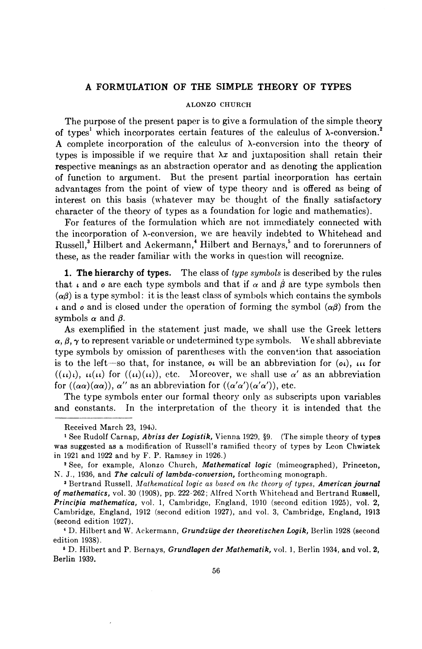## A FORMULATION OF THE SIMPLE THEORY OF TYPES

### ALONZO CHURCH

The purpose of the present paper is to give a formulation of the simple theory of types<sup>1</sup> which incorporates certain features of the calculus of  $\lambda$ -conversion.<sup>2</sup> **A** complete incorporation of the calculus of A-conversion into the theory of types is impossible if we require that  $\lambda x$  and juxtaposition shall retain their respective meanings as an abstraction operator and as denoting the application of function to argument. But the present partial incorporation has certain advantages from the point of view of type theory and is offered as being of interest on this basis (whatever may be thought of the finally satisfactory character of the theory of types as a foundation for logic and mathematics).

For features of the formulation which are not immediately connected with the incorporation of A-conversion, we are heavily indebted to Whitehead and Russell,<sup>3</sup> Hilbert and Ackermann,<sup>4</sup> Hilbert and Bernays,<sup>5</sup> and to forerunners of these, as the reader familiar with the works in question will recognize.

**1. The hierarchy of types.** The class of type symbols is described by the rules that  $\iota$  and  $\circ$  are each type symbols and that if  $\alpha$  and  $\beta$  are type symbols then  $(\alpha\beta)$  is a type symbol: it is the least class of symbols which contains the symbols  $\mu$  and *o* and is closed under the operation of forming the symbol  $(\alpha\beta)$  from the symbols  $\alpha$  and  $\beta$ .

type symbols by omissis<br>is to the left—so that,<br> $((\iota\iota)\iota), \iota\iota(\iota\iota)$  for  $((\iota\iota)(\iota\iota)$ <br>for  $((\alpha\alpha)(\alpha\alpha)), \alpha'$  as an<br>The type symbols ent<br>and constants. In the<br>Received March 23, 1943 As exemplified in the statement just made, we shall use the Greek letters  $\alpha$ ,  $\beta$ ,  $\gamma$  to represent variable or undetermined type symbols. We shall abbreviate type symbols by omission of parentheses with the convention that association is to the left—so that, for instance, or will be an abbreviation for  $(\alpha_i)$ ,  $\mu_i$  for  $((\mu)_{\iota})$ ,  $\mu(\mu)$  for  $((\mu)(\mu))$ , etc. Moreover, we shall use  $\alpha'$  as an abbreviation for  $((\alpha\alpha)(\alpha\alpha))$ ,  $\alpha''$  as an abbreviation for  $((\alpha'\alpha')(\alpha'\alpha'))$ , etc.

The type symbols enter our formal theory only as subscripts upon variables and constants. In the interpretation of the theory it is intended that the

Received March 23, 1943.

**<sup>1</sup>**See Rudolf Cnrnap, *Abriss der Logistik,* Vienna 1920, 59. (The simple theory of types was suggested as a modification of Russell's ramified theory of types by Leon Chwistek in 1921 and 1022 and by F. P. Ramsey in 1026.)

See, for example, Alonzo Church, *Mathematical logic* (mimeographed), Princeton, N. J., 1936, and *The calculi of lambda-conversion,* forthcoming monograph.

<sup>&</sup>lt;sup>3</sup> Bertrand Russell, *Mathematical logic as based on the theory of types, American journal* of mathematics, vol. 30 (1908), pp. 222-262; Alfred North Whitehead and Bertrand Russell, *Principia mathematics,* vol. 1, Cambridge, England, I010 (second edition 1925), vol. 2, Cambridge, England, 1912 (second edition 1927), and vol. 3, Cambridge, England, 1913 (second edition 1027).

D. Hilbert and W. Xckermann, *Grundziige der theoretischen Logik,* Berlin 1928 (second edition 1938).

**<sup>6</sup>**D. Hilbert and P. Bernays, *Grundlagen der Mathematik,* vol. 1, Berlin 1934, and vol. 2, Berlin 1939.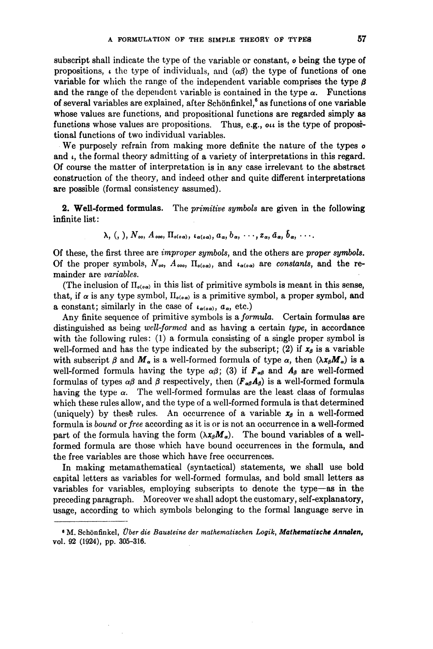subscript shall indicate the type of the variable or constant, o being the type of propositions,  $\iota$  the type of individuals, and  $(\alpha\beta)$  the type of functions of one variable for which the range of the independent variable comprises the type  $\beta$ and the range of the dependent variable is contained in the type  $\alpha$ . Functions of several variables are explained, after Schönfinkel, ${}^6$  as functions of one variable whose values are functions, and propositional functions are regarded simply as functions whose values are propositions. Thus, e.g.,  $\alpha\mu$  is the type of propositional functions of two individual variables.

We purposely refrain from making more definite the nature of the types of and  $\iota$ , the formal theory admitting of a variety of interpretations in this regard. Of course the matter of interpretation is in any case irrelevant to the abstract construction of the theory, and indeed other and quite different interpretations are possible (formal consistency assumed).

**2. Well-formed formulas.** The primitive symbols are given in the following infinite list:

$$
\lambda
$$
, (, ),  $N_{oo}$ ,  $A_{ooo}$ ,  $\Pi_{o(o\alpha)}$ ,  $\iota_{\alpha(o\alpha)}$ ,  $a_{\alpha}$ ,  $b_{\alpha}$ ,  $\cdots$ ,  $z_{\alpha}$ ,  $\bar{a}_{\alpha}$ ,  $\bar{b}_{\alpha}$ ,  $\cdots$ .

Of these, the first three are *improper symbols*, and the others are *proper symbols*. Of the proper symbols,  $N_{oo}$ ,  $A_{oo}$ ,  $\Pi_{o(o,a)}$ , and  $\iota_{a(o,a)}$  are constants, and the remainder are variables.

(The inclusion of  $\Pi_{o(\alpha\alpha)}$  in this list of primitive symbols is meant in this sense, that, if  $\alpha$  is any type symbol,  $\Pi_{\alpha(\alpha\alpha)}$  is a primitive symbol, a proper symbol, and **a** constant; similarly in the case of  $\iota_{\alpha(\circ\alpha)}$ ,  $a_{\alpha}$ , etc.)

Any finite sequence of primitive symbols is a formula. Certain formulas are distinguished as being well-formed and as having a certain type, in accordance with the following rules: (1) a formula consisting of a single proper symbol is well-formed and has the type indicated by the subscript; (2) if  $x_{\beta}$  is a variable with subscript  $\beta$  and  $M_a$  is a well-formed formula of type  $\alpha$ , then  $(\lambda x_{\beta}M_a)$  is a well-formed formula having the type  $\alpha\beta$ ; (3) if  $\mathbf{F}_{\alpha\beta}$  and  $\mathbf{A}_{\beta}$  are well-formed formulas of types  $\alpha\beta$  and  $\beta$  respectively, then  $(F_{\alpha\beta}A_{\beta})$  is a well-formed formula having the type  $\alpha$ . The well-formed formulas are the least class of formulas which these rules allow, and the type of a well-formed formula is that determined (uniquely) by these rules. An occurrence of a variable  $x_{\beta}$  in a well-formed formula is bound or free according as it is or is not an occurrence in a well-formed part of the formula having the form  $(\lambda x_{\beta}M_{\alpha})$ . The bound variables of a wellformed formula are those which have bound occurrences in the formula, and the free variables are those which have free occurrences.

In making metamathematical (syntactical) statements, we shall use bold capital letters as variables for well-formed formulas, and bold small letters as variables for variables, employing subscripts to denote the type-as in the preceding paragraph. Moreover we shall adopt the customary, self-explanatory, usage, according to which symbols belonging to the formal language serve in

**<sup>6</sup>***M.* **Schonfinkel,** *#be~ die Bausteine der mathematischen* **Logik,***Mathematische Annalen,*  **vol. 92 (1924), pp. 305-316.**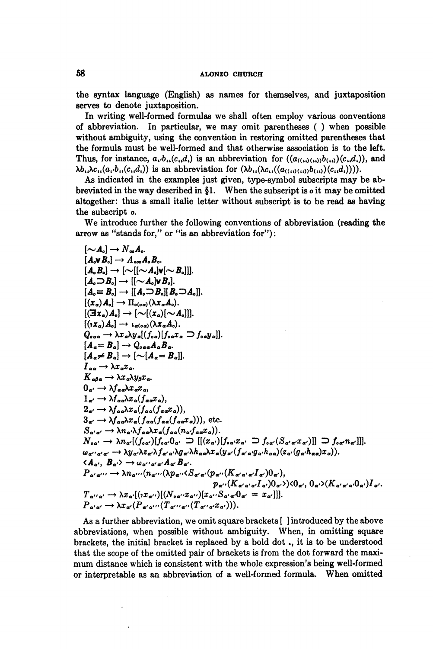the syntax language (English) **as** names for themselves, and juxtaposition serves to denote juxtaposition.

In writing well-formed formulas we shall often employ various conventions of abbreviation. in particular, we may omit parentheses ( ) when possible without ambiguity, using the convention in restoring omitted parentheses that the formula must be well-formed and that otherwise association is to the left. Thus, for instance,  $a_i \cdot b_{ii}(c_i, d_i)$  is an abbreviation for  $((a_{((ii)(ii))}b_{(i)})(c_{ii}d_i))$ , and  $\lambda b_{i\lambda}$  $\lambda c_{i\lambda}(a_{i\lambda}b_{i\lambda}(c_{i\lambda}d_{i}))$  is an abbreviation for  $(\lambda b_{i\lambda}(\lambda c_{i\lambda}((a_{i\lambda}(\lambda b_{i\lambda}))(c_{i\lambda}d_{i})))$ .

As indicated in the examples just given, type-symbol subscripts may be abbreviated in the way described in **\$1.** When the subscript is o it may be omitted altogether: thus a small italic letter without subscript is to be read as having the subscript o.

We introduce further the following conventions of abbreviation (reading the arrow as "stands for," or "is an abbreviation for"):

$$
[\mathcal{A}_0] \rightarrow N_{oo}A_o
$$
  
\n
$$
[A_{\alpha}B_o] \rightarrow A_{oo}A_oB_o
$$
  
\n
$$
[A_{\alpha}B_o] \rightarrow [\sim [(-A_o]\mathbf{v}[\sim B_o]]].
$$
  
\n
$$
[A_{\alpha}B_o] \rightarrow [[(-A_o]\mathbf{v}[\sim B_o]]].
$$
  
\n
$$
[A_{\alpha}B_o] \rightarrow [[A_{\alpha}B_o][B_{\alpha}B_o]]].
$$
  
\n
$$
[(x_a)A_o] \rightarrow [A_{(o\alpha)}(\lambda x_aA_o).
$$
  
\n
$$
[(\Im x_a)A_o] \rightarrow [\sim [(x_a)(\sim A_o]]].
$$
  
\n
$$
[a_a = B_o] \rightarrow \mathcal{X}_{co}[\mathcal{A}_a A_o).
$$
  
\n
$$
[A_a = B_a] \rightarrow Q_{ooa}A_aB_a.
$$
  
\n
$$
[A_a = B_a] \rightarrow [\sim [A_a = B_a]].
$$
  
\n
$$
[A_a \neq B_a] \rightarrow [\sim [A_a = B_a]].
$$
  
\n
$$
[A_a \neq B_a] \rightarrow [\sim [A_a = B_a]].
$$
  
\n
$$
[A_a \neq B_a] \rightarrow [\sim [A_a = B_a]].
$$
  
\n
$$
[A_a \neq B_a] \rightarrow [\sim [A_a = B_a]].
$$
  
\n
$$
[A_a \neq B_a] \rightarrow \lambda x_a \lambda x_a f_{,a\alpha}
$$
  
\n
$$
[A_a \neq B_a] \rightarrow \lambda y_a \lambda x_a f_{,a\alpha} f_{,a\alpha} f_{,a},
$$
  
\n
$$
[A_a \neq A_a \lambda x_a f_{,a\alpha} f_{,a\alpha} f_{,a\alpha} f_{,a},
$$
  
\n
$$
[A_a \rightarrow \lambda y_a \lambda x_a f_{,a\alpha} f_{,a\alpha} f_{,a\alpha} f_{a\alpha} f_{a\alpha} f_{a\alpha}].
$$
  
\n
$$
S_{\alpha'a'} \rightarrow \lambda y_a \lambda z_a f_{,a\alpha} f_{,a\alpha} f_{,a\alpha} f_{a\alpha} f_{a\alpha}].
$$
  
\n
$$
S_{\alpha'a'} \rightarrow \lambda y_a \lambda z_a f_{,
$$

As a further abbreviation, we omit square brackets [ ] introduced by the above abbreviations, when possible without ambiguity. When, in omitting square brackets, the initial bracket is replaced by a bold dot ., it is to be understood that the scope of the omitted pair of brackets is from the dot forward the maximum distance which is consistent with the whole expression's being well-formed or interpretable as an abbreviation of a well-formed formula. When omitted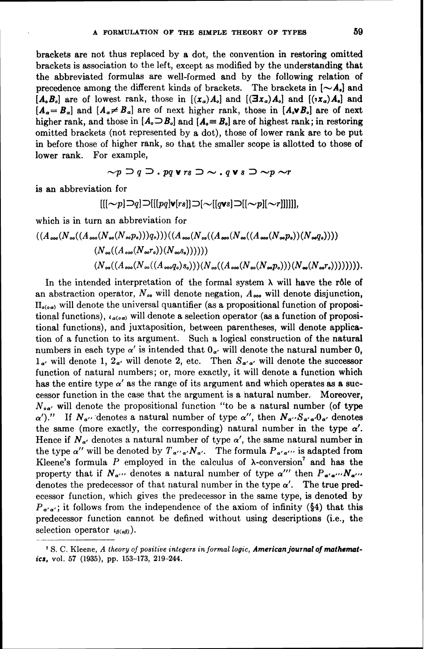brackets are not thus replaced by a dot, the convention in restoring omitted brackets is association to the left, except as modified by the understanding that the abbreviated formulas are well-formed and by the following relation of precedence among the different kinds of brackets. The brackets in  $[ $\sim A_0$  and$  $[A_0, B_0]$  are of lowest rank, those in  $[(x_{\alpha})A_0]$  and  $[(\exists x_{\alpha})A_0]$  and  $[(\cdot,x_{\alpha})A_0]$  and  $[A_{\alpha} = B_{\alpha}]$  and  $[A_{\alpha} \neq B_{\alpha}]$  are of next higher rank, those in  $[A_{\alpha} \vee B_{\alpha}]$  are of next higher rank, and those in  $[A_{\circ} \Box B_{\circ}]$  and  $[A_{\circ} \equiv B_{\circ}]$  are of highest rank; in restoring omitted brackets (not represented by a dot), those of lower rank are to be put in before those of higher rank, so bhat the smaller scope is allotted to those of lower rank. For example,

 $\sim p \supset q \supset P$  or  $q \vee rs \supset \sim q \vee s \supset \sim p \sim r$ 

is an abbreviation for

$$
[[[\sim p]\supseteq q]\supset [[[pq]\mathbf{v}[rs]]\supset [\sim[[q\mathbf{v}s]\supset [[\sim p][\sim r]]]]]],
$$

which is in turn an abbreviation for

$$
((A_{\infty 0}(N_{\infty 0}(N_{\infty 0}(N_{\infty 0}(N_{\infty}P_o)))q_o)))( (A_{\infty 0}(N_{\infty 0}(N_{\infty 0}(N_{\infty 0}(N_{\infty}P_o))(N_{\infty}q_o)))
$$
  
\n
$$
(N_{\infty 0}((A_{\infty 0}(N_{\infty}r_o))(N_{\infty}s_o))))))
$$
  
\n
$$
(N_{\infty 0}((A_{\infty 0}(N_{\infty 0}(A_{\infty}q_o)s_o)))(N_{\infty 0}((A_{\infty 0}(N_{\infty}P_o)))(N_{\infty}(N_{\infty}r_o)))))))
$$

In the intended interpretation of the formal system  $\lambda$  will have the rôle of an abstraction operator,  $N_{oo}$  will denote negation,  $A_{oo}$  will denote disjunction,  $\Pi_{o(o,a)}$  will denote the universal quantifier (as a propositional function of propositional functions),  $l_{\alpha(\sigma\alpha)}$  will denote a selection operator (as a function of propositional functions), and juxtaposition, between parentheses, will denote application of a function to its argument. Such a logical construction of the natural numbers in each type  $\alpha'$  is intended that  $0_{\alpha'}$  will denote the natural number 0,  $1_{\alpha'}$  will denote 1,  $2_{\alpha'}$  will denote 2, etc. Then  $S_{\alpha'\alpha'}$  will denote the successor function of natural numbers; or, more exactly, it will denote a function which has the entire type  $\alpha'$  as the range of its argument and which operates as a successor function in the case that the argument is a natural number. Moreover,  $N_{\text{ox}}$  will denote the propositional function "to be a natural number (of type  $\alpha'$ )." If  $N_{\alpha''}$  denotes a natural number of type  $\alpha''$ , then  $N_{\alpha''}S_{\alpha'\alpha'}0_{\alpha'}$  denotes the same (more exactly, the corresponding) natural number in the type  $\alpha'$ . Hence if  $N_{\alpha'}$  denotes a natural number of type  $\alpha'$ , the same natural number in the type  $\alpha''$  will be denoted by  $T_{\alpha''\alpha'}N_{\alpha'}$ . The formula  $P_{\alpha'\alpha'''}$  is adapted from Kleene's formula  $P$  employed in the calculus of  $\lambda$ -conversion<sup>7</sup> and has the property that if  $N_{\alpha''}$  denotes a natural number of type  $\alpha'''$  then  $P_{\alpha'\alpha'''}N_{\alpha'''}$ denotes the predecessor of that natural number in the type  $\alpha'$ . The true predecessor function, which gives the predecessor in the same type, is denoted by  $P_{a'a'}$ ; it follows from the independence of the axiom of infinity (§4) that this predecessor function cannot be defined without using descriptions (i.e,, the selection operator  $\iota_{\beta(\circ\beta)}$ ).

S. *C.* Kleene, *A lheory of positive integers in formal logic, American journal of muthematics,* **vol. 57 (1935), pp. 153-173, 219-244.**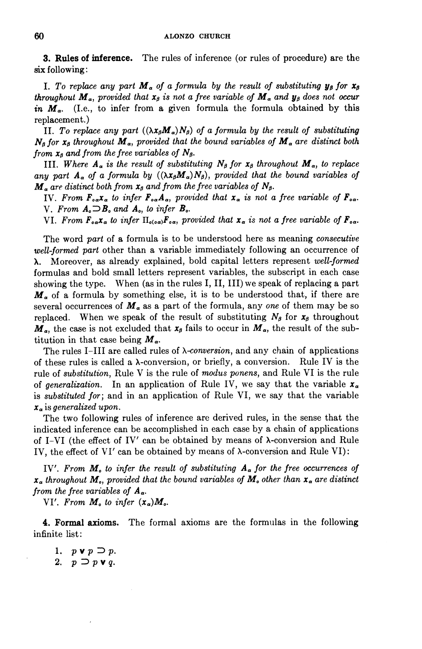**3. Rules** of **inference.** The rules of inference (or rules of procedure) are the **six** following:

**I.** To replace any part  $M_a$  of a formula by the result of substituting  $y_\beta$  for  $x_\beta$ *throughout*  $M_a$ , *provided that*  $x_\beta$  *is not a free variable of*  $M_a$  *and*  $y_\beta$  *does not occur in*  $M_a$ . (I.e., to infer from a given formula the formula obtained by this replacement.)

11. To replace any part  $((\lambda x_{\beta}M_{\alpha})N_{\beta})$  of a formula by the result of substituting  $N_g$  for  $x_g$  throughout  $M_a$ , provided that the bound variables of  $M_a$  are distinct both *from*  $x_0$  *and from the free variables of*  $N_\beta$ .

111. Where  $A_{\alpha}$  is the result of substituting  $N_{\beta}$  for  $x_{\beta}$  throughout  $M_{\alpha}$ , to replace any part  $A_{\alpha}$  of a formula by  $((\lambda x_{\beta}M_{\alpha})N_{\beta})$ , provided that the bound variables of  $M_a$  are distinct both from  $x_\beta$  and from the free variables of  $N_\beta$ .

IV. From  $\mathbf{F}_{o\alpha} \mathbf{x}_{\alpha}$  to *infer*  $\mathbf{F}_{o\alpha} \mathbf{A}_{\alpha}$ , provided that  $\mathbf{x}_{\alpha}$  is not a free variable of  $\mathbf{F}_{o\alpha}$ . V. From  $A_0 \supseteq B_0$  and  $A_0$ , to infer  $B_0$ .

VI. From  $F_{\alpha\alpha}x_{\alpha}$  to *infer*  $\Pi_{\alpha(\alpha\alpha)}F_{\alpha\alpha}$ , provided that  $x_{\alpha}$  *is not a free variable of*  $F_{\alpha\alpha}$ .

The word *part* of a formula is to be understood here as meaning *consecutive well-formed part* other than a variable immediately following an occurrence of **A.** Moreover, **as** already explained, bold capital letters represent *well-formed*  formulas and bold small letters represent variables, the subscript in each case showing the type. When (as in the rules I, 11, 111) we speak of replacing a part  $M_a$  of a formula by something else, it is to be understood that, if there are several occurrences of  $M_a$  as a part of the formula, any *one* of them may be so replaced. When we speak of the result of substituting  $N_{\beta}$  for  $x_{\beta}$  throughout  $M_a$ , the case is not excluded that  $x_\beta$  fails to occur in  $M_a$ , the result of the subtitution in that case being  $M_a$ .

The rules 1-111 are called rules of *A-conversion,* and any chain of applications of these rules is called a  $\lambda$ -conversion, or briefly, a conversion. Rule IV is the rule of *substitution,* Rule V is the rule of *modus ponens,* and Rule VI is the rule of *generalization*. In an application of Rule IV, we say that the variable  $x_{\alpha}$ is *substituted for*; and in an application of Rule VI, we say that the variable x, is *generalized upon.* 

The two following rules of inference are derived rules, in the sense that the indicated inference can be accomplished in each case by a chain of applications of I-VI (the effect of IV' can be obtained by means of  $\lambda$ -conversion and Rule IV, the effect of VI' can be obtained by means of A-conversion and Rule VI):

IV'. From  $M_{\circ}$  to infer the result of substituting  $A_{\alpha}$  for the free occurrences of  $x_{\alpha}$  throughout  $M_{\alpha}$ , provided that the bound variables of  $M_{\alpha}$  other than  $x_{\alpha}$  are distinct *from the free variables of*  $A_{\alpha}$ .

VI'. From  $M_{\circ}$  to infer  $(x_{\alpha})M_{\circ}$ .

**4. Formal axioms.** The formal axioms are the formulas in the following infinite list:

1.  $p \vee p \supset p$ . 2.  $p \supset p \vee q$ .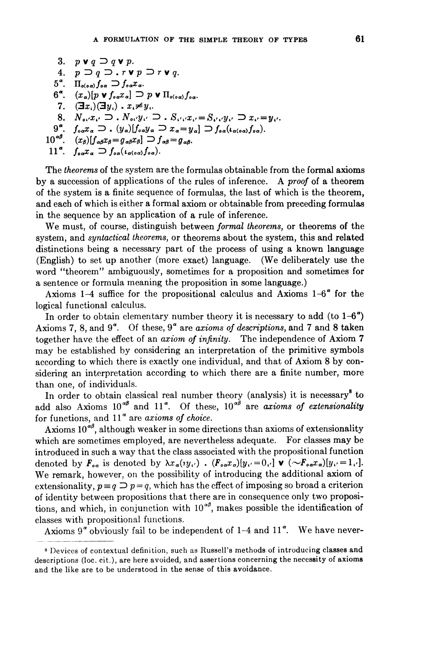```
3. p \vee q \supset q \vee p.
       4. p \supset q \supset r \vee p \supset r \vee q.
    5^\alpha. \Pi_{o(\alpha\alpha)} f_{\alpha\alpha} \supset f_{\alpha\alpha} x_\alpha.
    6^{\alpha}. (x_{\alpha})[p \vee f_{\alpha}x_{\alpha}] \supseteq p \vee \Pi_{o(\alpha\alpha)}f_{\alpha\alpha}.
      7. (\exists x_i)(\exists y_i) \cdot x_i \neq y_i.
      8. N_{\alpha\beta}x_{\alpha\beta}\supset N_{\alpha\beta}y_{\alpha\beta}\supset N_{\beta\beta}x_{\alpha\beta}=S_{\beta\beta}y_{\alpha\beta}\supset x_{\alpha\beta}=y_{\alpha\beta}9^{\alpha}, f_{\alpha\alpha}x_{\alpha}\supseteq (y_{\alpha})[f_{\alpha\alpha}y_{\alpha}\supseteq x_{\alpha}=y_{\alpha}]\supseteq f_{\alpha\alpha}(\iota_{\alpha(\alpha\alpha)}f_{\alpha\alpha}).10^{\alpha\beta}, (x_\beta)[f_{\alpha\beta}x_\beta = g_{\alpha\beta}x_\beta] \supset f_{\alpha\beta} = g_{\alpha\beta}.
11<sup>a</sup>. f_{\alpha\alpha}x_{\alpha} \supset f_{\alpha\alpha}(\iota_{\alpha(\alpha\alpha)}f_{\alpha\alpha}).
```
The theorems of the system are the formulas obtainable from the formal axioms by a succession of applications of the rules of inference. A proof of a theorem of the system is a finite sequence of formulas, the last of which is the theorem, and each of which is either a formal axiom or obtainable from preceding formulas in the sequence by an application of a rule of inference.

We must, of course, distinguish between formal theorems, or theorems **of** the system, and syntactical theorems, or theorems about the system, this and related distinctions being a necessary part of the process of using a known language (English) to set up another (more exact) language. (We deliberately use the word "theorem" ambiguously, sometimes for a proposition and sometimes for a sentence or formula meaning the proposition in some language.)

Axioms 1-4 suffice for the propositional calculus and Axioms  $1-6^{\circ}$  for the logical functional calculus.

In order to obtain elementary number theory it is necessary to add (to  $1-6^{\circ}$ ) Axioms 7, 8, and  $9^{\circ}$ . Of these,  $9^{\circ}$  are *axioms of descriptions*, and 7 and 8 taken together have the effect of an axiom of infinity. The independence of Axiom 7 may be established hy considering an interpretation of the primitive symbols according to which there is exactly one individual, and that of Axiom 8 by considering an interpretation according to which there are a finite number, more than one, of individuals.

In order to obtain classical real number theory (analysis) it is necessary<sup>8</sup> to add also Axioms  $10^{\alpha\beta}$  and  $11^{\alpha}$ . Of these,  $10^{\alpha\beta}$  are axioms of extensionality for functions, and  $11<sup>a</sup>$  are axioms of choice.

Axioms  $10^{4\beta}$ , although weaker in some directions than axioms of extensionality which are sometimes employed, are nevertheless adequate. For classes may be introduced in such a way that the class associated with the propositional function denoted by  $\mathbf{F}_{o\alpha}$  is denoted by  $\lambda x_{\alpha}(y_{\alpha})$  .  $(\mathbf{F}_{o\alpha}x_{\alpha})[y_{\alpha}=0_{\alpha}]$  **v**  $(\sim\!\!\mathbf{F}_{o\alpha}x_{\alpha})[y_{\alpha}=1_{\alpha}].$ We remark, however, on the possibility of introducing the additional axiom of extensionality,  $p \equiv q \supseteq p = q$ , which has the effect of imposing so broad a criterion of identity between propositions that there are in consequence only two propositions, and which, in conjunction with  $10^{\alpha\beta}$ , makes possible the identification of classes with propositional functions.

Axioms  $9^{\alpha}$  obviously fail to be independent of 1-4 and 11 $^{\alpha}$ . We have never-

<sup>&</sup>lt;sup>8</sup> Devices of contextual definition, such as Russell's methods of introducing classes and descriptions (loc. cit.), are here avoided, and assertions concerning the necessity of axioms and the like are to be understood in the sense of this avoidance.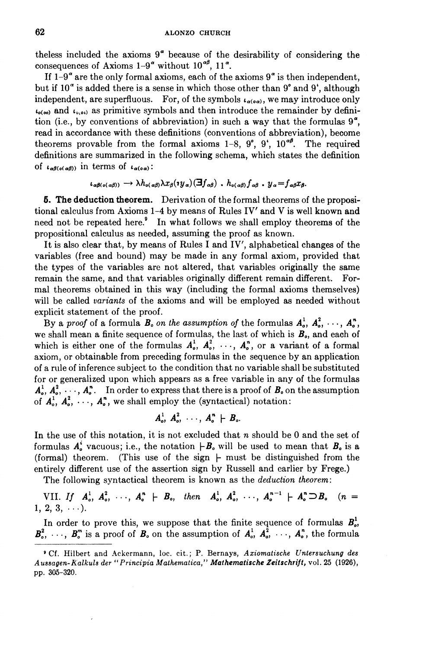theless included the axioms  $9^{\alpha}$  because of the desirability of considering the consequences of Axioms  $1-9^{\alpha}$  without  $10^{\alpha\beta}$ ,  $11^{\alpha}$ .

If  $1-9^{\alpha}$  are the only formal axioms, each of the axioms  $9^{\alpha}$  is then independent, but if  $10^{\circ}$  is added there is a sense in which those other than 9° and 9', although independent, are superfluous. For, of the symbols  $t_{\alpha(\alpha\alpha)}$ , we may introduce only  $L_{\rho(\infty)}$  and  $L_{\rho(\infty)}$  as primitive symbols and then introduce the remainder by definition (i.e., by conventions of abbreviation) in such a way that the formulas  $9^\alpha$ , read in accordance with these definitions (conventions of abbreviation), become theorems provable from the formal axioms 1-8,  $9^\circ$ ,  $9^\circ$ ,  $10^{\alpha\beta}$ . The required definitions are summarized in the following schema, which states the definition of  $\iota_{\alpha\beta(\alpha(\alpha\beta))}$  in terms of  $\iota_{\alpha(\alpha\alpha)}$ :

 $\iota_{\alpha\beta(\circ(\alpha\beta))}\to \lambda h_{\alpha(\alpha\beta)}\lambda x_{\beta}(\gamma y_{\alpha})(\exists f_{\alpha\beta})$ .  $h_{\alpha(\alpha\beta)}f_{\alpha\beta}$ .  $y_{\alpha}=f_{\alpha\beta}x_{\beta}$ .

**5. The deduction theorem.** Derivation of the formal theorems of the propositional calculus from Axioms 1-4 by means of Rules IV' and V is well known and need not be repeated here.' In what follows we shall employ theorems of the propositional calculus as needed, assuming the proof as known.

It is also clear that, by means of Rules I and IV', alphabetical changes of the variables (free and bound) may be made in any formal axiom, provided that the types of the variables are not altered, that variables originally the same remain the same, and that variables originally different remain different. Formal theorems obtained in this way (including the formal axioms themselves) will be called variants of the axioms and will be employed as needed without explicit statement of the proof.

By a proof of a formula  $B_0$  on the assumption of the formulas  $A_0^1, A_0^2, \ldots, A_n^n$ , we shall mean a finite sequence of formulas, the last of which is  $B<sub>o</sub>$ , and each of which is either one of the formulas  $A_o^1$ ,  $A_o^2$ , ...,  $A_o^n$ , or a variant of a formal axiom, or obtainable from preceding formulas in the sequence by an application of a rule of inference subject to the condition that no variable shall be substituted for or generalized upon which appears as a free variable in any of the formulas  $A_0^1, A_0^2, \dots, A_n^n$ . In order to express that there is a proof of  $B_0$  on the assumption of  $A_0^1$ ,  $A_0^2$ ,  $\cdots$ ,  $A_0^n$ , we shall employ the (syntactical) notation:

$$
A_o^1, A_o^2, \cdots, A_o^n \vdash B_o.
$$

In the use of this notation, it is not excluded that  $n$  should be 0 and the set of formulas  $A_o^i$  vacuous; i.e., the notation  $\big|B_o$  will be used to mean that  $B_o$  is a (formal) theorem. (This use of the sign  $\vdash$  must be distinguished from the entirely different use of the assertion sign by Russell and earlier by Frege.)

The following syntactical theorem is known as the deduction theorem:

VII. If  $A_0^1, A_0^2, \cdots, A_n^n \vdash B_0$ , then  $A_0^1, A_0^2, \cdots, A_n^{n-1} \vdash A_n^n \supset B_0$  (n =  $1, 2, 3, \ldots$ ).

In order to prove this, we suppose that the finite sequence of formulas  $B_{\alpha}^1$ ,  $B_0^2$ , ...,  $B_o^m$  is a proof of  $B_o$  on the assumption of  $A_o^1$ ,  $A_o^2$ , ...,  $A_o^n$ , the formula

**<sup>O</sup>Cf. Hilbert and hckcrmann, loc. cit.;** P. **Bernays,** *Aziomatische Unlersuchung des Aussagen-Kalkuls der* "*Prancipia Mathematica," Mafhematische Zeitschrifl,* **vol.** *25* **(1926), pp. 305-320.**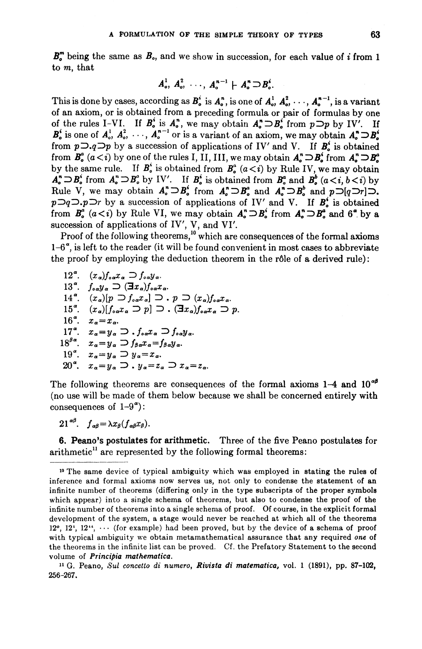$B_{\alpha}^{m}$  being the same as  $B_{\alpha}$ , and we show in succession, for each value of *i* from 1 to m, that

$$
A_o^1, A_o^2, \ldots, A_o^{n-1} \vdash A_o^n \supset B_o^i.
$$

This is done by cases, according as  $B_0^i$  is  $A_0^n$ , is one of  $A_0^1, A_0^2, \dots, A_n^{n-1}$ , is a variant of an axiom, or is obtained from a preceding formula or pair of formulas by one of the rules I-VI. If  $B_0^i$  is  $A_0^n$ , we may obtain  $A_0^n \supset B_0^i$  from  $p \supset p$  by IV'. If  $B_0^i$  is one of  $A_0^1, A_0^2, \dots, A_0^{n-1}$  or is a variant of an axiom, we may obtain  $A_0^* \supseteq B_0^*$ <br> $B_0^i$ from  $p\supset q\supset p$  by a succession of applications of IV' and V. If  $B^i$  is obtained from  $B^a$  ( $a < i$ ) by one of the rules I, II, III, we may obtain  $A^r_a \supset B^i_a$  from  $A^r_a \supset B^a_a$ by the same rule. If  $B_0^i$  is obtained from  $B_0^a$  ( $a < i$ ) by Rule IV, we may obtain  $A_{\sigma}^{n} \supset B_{\sigma}^{i}$  from  $A_{\sigma}^{n} \supset B_{\sigma}^{a}$  by IV'. If  $B_{\sigma}^{i}$  is obtained from  $B_{\sigma}^{a}$  and  $B_{\sigma}^{b}$   $(a \leq i, b \leq i)$  by Rule V, we may obtain  $A_o^* \supseteq B_o^i$  from  $A_o^* \supseteq B_o^i$  and  $A_o^* \supseteq B_o^b$  and  $p \supseteq [q \supseteq r] \supseteq$ .  $p\supset q\supset p\supset r$  by a succession of applications of IV' and V. If  $B_{\circ}^{i}$  is obtained from  $B^a$  ( $a < i$ ) by Rule VI, we may obtain  $A^n_a \supset B^i_a$  from  $A^n_a \supset B^a_a$  and  $6^a$  by a succession of applications of IV', V, and VI'.

Proof of the following theorems,<sup>10</sup> which are consequences of the formal axioms  $1-6^\alpha$ , is left to the reader (it will be found convenient in most cases to abbreviate the proof by employing the deduction theorem in the rôle of a derived rule):

 $12^{\alpha}$ .  $(x_{\alpha})f_{\alpha\alpha}x_{\alpha} \supset f_{\alpha\alpha}y_{\alpha}$ . 13<sup>a</sup>.  $f_{\alpha\alpha}y_{\alpha} \supset (\exists x_{\alpha})f_{\alpha\alpha}x_{\alpha}$ .  $14<sup>a</sup>$ .  $(x_{\alpha})[p \supset f_{\alpha}x_{\alpha}] \supset P(p \supset (x_{\alpha})f_{\alpha}x_{\alpha}).$ 15<sup>°</sup>,  $(x_a)[f_{aa}x_a \supset p] \supset \overline{f}_{aa}x_a$ ,  $\supset p$ . 16<sup>a</sup>.  $x_{\alpha} = x_{\alpha}$ . 17<sup>a</sup>.  $x_{\alpha} = y_{\alpha} \supset f_{\alpha} x_{\alpha} \supset f_{\alpha} y_{\alpha}$ .  $18^{\beta\alpha}$ ,  $x_{\alpha} = y_{\alpha} \supset f_{\beta\alpha}x_{\alpha} = f_{\beta\alpha}y_{\alpha}$ . 19<sup>°</sup>.  $x_{\alpha} = y_{\alpha} \supseteq y_{\alpha} = x_{\alpha}$ . 20<sup>°</sup>,  $x_a=y_a \supset y_a=z_a \supset x_a=z_a$ .

The following theorems are consequences of the formal axioms  $1-4$  and  $10^{48}$ (no use will be made of them below because we shall be concerned entirely with consequences of  $1-9^{\alpha}$ ):

 $21^{\alpha\beta}$ ,  $f_{\alpha\beta} = \lambda x_{\beta} (f_{\alpha\beta} x_{\beta})$ .

6. Peano's postulates for arithmetic. Three of the five Peano postulates for  $arithmetic<sup>11</sup>$  are represented by the following formal theorems:

**lo** The same device of typical ambiguity which was employed in stating the rules of inference and formal axioms now serves us, not only to condense the statement of an infinite number of theorems (differing only in the type subscripts of the proper symbols which appear) into a single schema of theorems, but also to condense the proof of the infinite number of theorems into a single schema of proof. Of course, in the explicit formal development of the system, a stage would never be reached at which all of the theorems  $12^{\circ}$ ,  $12^{\circ}$ ,  $12^{\circ}$ ,  $\cdots$  (for example) had been proved, but by the device of a schema of proof with typical ambiguity we obtain metamathematical assurance that any required **one** of the theorems in the infinite list can be proved. Cf. the Prefatory Statement to the second volume of *Principia mathematica*.

G. Peano, *Sul* **concello** di **numero,** *Rivisla* **di** *matematica,* vol. *1* **(1891),** pp. 87-102, **256-267.**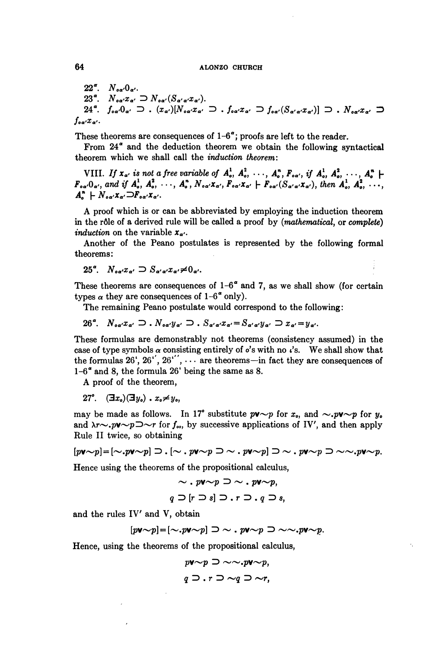# **64 ALONZO CHURCH**

 $22^\circ$ .  $N_{\alpha\alpha'}0_{\alpha'}$ .  $23^\circ$ .  $N_{oa'}x_{a'} \supset N_{oa'}(S_{a'a'}x_{a'}).$  $f_{\circ\alpha'}0_{\alpha'} \supset . (x_{\alpha'})[N_{\circ\alpha'}x_{\alpha'} \supset . f_{\circ\alpha'}x_{\alpha'} \supset f_{\circ\alpha'}(S_{\alpha'\alpha'}x_{\alpha'})] \supset . N_{\circ\alpha'}x_{\alpha'} \supset$  $24^\circ$ .  $f_{\alpha\alpha'}x_{\alpha'}$ .

These theorems are consequences of  $1-6^\alpha$ ; proofs are left to the reader.

From  $24^{\alpha}$  and the deduction theorem we obtain the following syntactical theorem which we shall call the induction theorem:

VIII. If  $x_{\alpha'}$  is not a free variable of  $A_{\circ}^1$ ,  $A_{\circ}^2$ ,  $\cdots$ ,  $A_{\circ}^n$ ,  $F_{\circ \alpha'}$ , if  $A_{\circ}^1$ ,  $A_{\circ}^2$ ,  $\cdots$ ,  $A_{\circ}^n$   $\vdash$ Foa, Oa, and if  $A_0^1$ ,  $A_0^2$ , ...,  $A_0^n$ ,  $N_{oa'}x_{a'}$ ,  $F_{oa'}x_{a'}$   $\vdash F_{oa'}(S_{a'a'}x_{a'})$ , then  $A_0^1$ ,  $A_0^2$ , ...,  $A_{\alpha}^{n} \vdash N_{\alpha\alpha'}x_{\alpha'} \Box F_{\alpha\alpha'}x_{\alpha'}.$ 

A proof which is or can be abbreviated by employing the induction theorem in the r61e of a derived rule will be called a proof by (mathematical, or complete) induction on the variable  $x_{\alpha'}$ .

Another of the Peano postulates is represented by the following formal theorems:

$$
25^{\alpha}. \quad N_{\alpha\alpha'}x_{\alpha'} \supset S_{\alpha'\alpha'}x_{\alpha'} \neq 0_{\alpha'}.
$$

These theorems are consequences of  $1-6^{\alpha}$  and 7, as we shall show (for certain types  $\alpha$  they are consequences of 1-6<sup> $\alpha$ </sup> only).

The remaining Peano postulate would correspond to the following:

$$
26^{\alpha}. \quad N_{\alpha\alpha'}x_{\alpha'} \supset P_{\alpha\alpha'}y_{\alpha'} \supset P_{\alpha'\alpha'}x_{\alpha'} = S_{\alpha'\alpha'}y_{\alpha'} \supset x_{\alpha'}=y_{\alpha'}.
$$

These formulas are demonstrably not theorems (consistency assumed) in the case of type symbols  $\alpha$  consisting entirely of  $\delta$ 's with no  $\iota$ 's. We shall show that the formulas  $26'$ ,  $26'$ ,  $26''$ ,  $\cdots$  are theorems-in fact they are consequences of  $1-6^{\alpha}$  and 8, the formula 26' being the same as 8.

A proof of the theorem,

$$
27^{\circ}. \quad (\exists x_{\circ})(\exists y_{\circ}) \cdot x_{\circ} \neq y_{\circ},
$$

may be made as follows. In 17° substitute  $p\mathbf{v} \sim p$  for  $x_{o}$ , and  $\sim p\mathbf{v} \sim p$  for  $y_{o}$ and  $\lambda r \sim p \nu \sim p \nu r$  for  $f_{\infty}$ , by successive applications of IV', and then apply Rule I1 twice, so obtaining

 $[pv\sim p] = [\sim pv\sim p] \supset [|\sim pv\sim p] \supset [\sim pv\sim p] \supset [\sim pv\sim p] \supset [\sim pv\sim p.$ 

Hence using the theorems of the propositional calculus,

 $\sim$  . pv $\sim$ p  $\supset \sim$  . pv $\sim$ p,  $q \supset [r \supset s] \supset r \supset q \supset s$ .

and the rules IV' and V, obtain  
\n
$$
[p\mathbf{v}\sim p] = [\sim .p\mathbf{v}\sim p] \supset \sim .p\mathbf{v}\sim p \supset \sim \sim .p\mathbf{v}\sim p.
$$

Hence, using the theorems of the propositional calculus,

$$
p\mathbf{v} \sim p \supset \sim \sim p\mathbf{v} \sim p,
$$
  
 
$$
q \supset r \supset \sim q \supset \sim r,
$$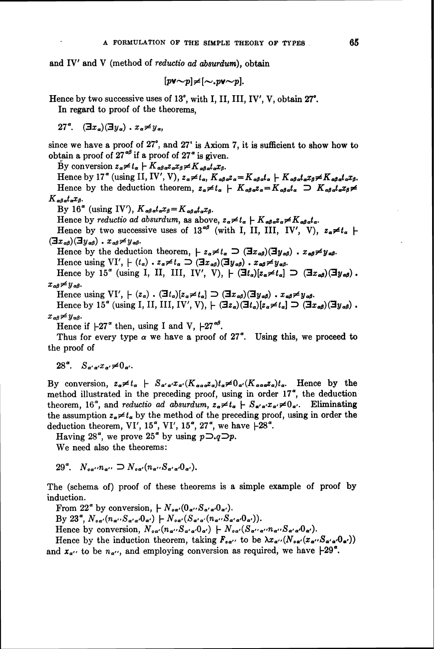and IV' and V (method of *reductio ad absurdum*), obtain

$$
[p\mathbf{v} \sim p] \neq [\sim, p\mathbf{v} \sim p].
$$

Hence by two successive uses of  $13^\circ$ , with I, II, III, IV', V, obtain  $27^\circ$ .

In regard to proof of the theorems,

 $27^\circ$ .  $(\exists x_a)(\exists y_a)$ .  $x_a \neq y_a$ .

since we have a proof of  $27^{\circ}$ , and  $27^{\circ}$  is Axiom 7, it is sufficient to show how to obtain a proof of  $27^{\alpha\beta}$  if a proof of  $27^{\alpha}$  is given.

By conversion  $z_a \neq t_a + K_{ab} z_a z_a \neq K_{ab} z_a x_b$ .

Hence by 17<sup>"</sup> (using II, IV', V),  $z_{\alpha} \neq t_{\alpha}$ ,  $K_{\alpha\beta\alpha}z_{\alpha} = K_{\alpha\beta\alpha}t_{\alpha} + K_{\alpha\beta\alpha}t_{\alpha}x_{\beta} \neq K_{\alpha\beta\alpha}t_{\alpha}x_{\beta}$ . Hence by the deduction theorem,  $z_a \neq t_a + K_{ab} z_a = K_{ab} t_a$   $\supset K_{ab} z_a t_a x_b \neq 0$  $K_{\alpha\beta\alpha}t_{\alpha}x_{\beta}$ 

By 16<sup> $\alpha$ </sup> (using IV'),  $K_{\alpha\beta\alpha}t_{\alpha}x_{\beta}=K_{\alpha\beta\alpha}t_{\alpha}x_{\beta}$ .

Hence by reductio ad absurdum, as above,  $z_a \neq t_a + K_{ab} z_a \neq K_{ab} z_a$ .

Hence by two successive uses of 13<sup> $\alpha\beta$ </sup> (with I, II, III, IV', V),  $z_{\alpha} \neq t_{\alpha}$  +  $(\exists x_{\alpha\beta})(\exists y_{\alpha\beta})\cdot x_{\alpha\beta} \neq y_{\alpha\beta}.$ 

Hence by the deduction theorem,  $z_{\alpha} \neq t_{\alpha} \supset (\exists x_{\alpha\beta})(\exists y_{\alpha\beta})$ .  $x_{\alpha\beta} \neq y_{\alpha\beta}$ .

Hence using  $VI'$ ,  $\vdash (t_{\alpha}) \cdot z_{\alpha} \neq t_{\alpha} \supseteq (\exists x_{\alpha\beta})(\exists y_{\alpha\beta}) \cdot x_{\alpha\beta} \neq y_{\alpha\beta}$ .

Hence by 15<sup>"</sup> (using I, II, III, IV', V),  $\vdash$   $(\exists t_a)[z_a \neq t_a] \supset (\exists x_{a\theta})(\exists y_{a\theta})$ .  $x_{\alpha\beta} \neq y_{\alpha\beta}$ .

Hence using  $VI'$ ,  $\vdash (z_{\alpha})$ .  $(\exists t_{\alpha})[z_{\alpha} \neq t_{\alpha}] \supset (\exists x_{\alpha\beta})(\exists y_{\alpha\beta})$ .  $x_{\alpha\beta} \neq y_{\alpha\beta}$ .

Hence by 15<sup> $\alpha$ </sup> (using I, II, III, IV', V),  $\vdash (\exists z_{\alpha})(\exists t_{\alpha})[z_{\alpha} \neq t_{\alpha}] \supset (\exists x_{\alpha\beta})(\exists y_{\alpha\beta})$ .  $x_{\alpha\beta} \neq y_{\alpha\beta}$ .

Hence if  $\pm 27$ " then, using I and V,  $\pm 27$ <sup> $\alpha\beta$ </sup>.

Thus for every type  $\alpha$  we have a proof of 27<sup> $\alpha$ </sup>. Using this, we proceed to the proof of

$$
28^{\alpha}. \quad S_{\alpha'\alpha'}x_{\alpha'} \neq 0_{\alpha'}.
$$

By conversion,  $z_{\alpha} \neq t_{\alpha}$   $\vdash$   $S_{\alpha'\alpha'}x_{\alpha'}(K_{\alpha\alpha}z_{\alpha})t_{\alpha} \neq 0_{\alpha'}(K_{\alpha\alpha\alpha}z_{\alpha})t_{\alpha}$ . Hence by the method illustrated in the preceding proof, using in order  $17<sup>a</sup>$ , the deduction theorem, 16<sup>°</sup>, and *reductio ad absurdum*,  $z_{\alpha} \neq t_{\alpha}$   $\vdash S_{\alpha' \alpha'} x_{\alpha'} \neq 0_{\alpha'}$ . Eliminating the assumption  $z_{\alpha} \neq t_{\alpha}$  by the method of the preceding proof, using in order the deduction theorem, VI', 15<sup> $\alpha$ </sup>, VI', 15 $\alpha$ <sup>2</sup>, 27 $\alpha$ <sup>4</sup>, we have  $+28\alpha$ <sup>2</sup>.

Having 28<sup> $\alpha$ </sup>, we prove 25<sup> $\alpha$ </sup> by using  $p\sum q\sum p$ .

We need also the theorems:

29<sup>°</sup>,  $N_{\alpha\alpha'}n_{\alpha'} \supset N_{\alpha\alpha'}(n_{\alpha'}S_{\alpha'\alpha'}0_{\alpha'})$ .

The (schema of) proof of these theorems is a simple example of proof by induction.

From 22<sup> $\alpha$ </sup> by conversion,  $\mu N_{\alpha\alpha'}(0_{\alpha'}S_{\alpha'\alpha'}0_{\alpha'}).$ By  $23^{\alpha}$ ,  $N_{\alpha\alpha'}(n_{\alpha'}S_{\alpha'\alpha'}0_{\alpha'})$   $\vdash N_{\alpha\alpha'}(S_{\alpha'\alpha'}(n_{\alpha'}S_{\alpha'\alpha'}0_{\alpha'})).$ Hence by conversion,  $N_{\sigma\alpha'}(n_{\alpha'}S_{\alpha'\alpha'}0_{\alpha'})$   $\vdash N_{\sigma\alpha'}(S_{\alpha'\alpha'}n_{\alpha'}S_{\alpha'\alpha'}0_{\alpha'}).$ 

Hence by the induction theorem, taking  $F_{oa}$  to be  $\lambda x_{a'}(N_{oa'} (x_{a'} S_{a'a'} 0_{a'}))$ and  $x_{\alpha}$ , to be  $n_{\alpha}$ , and employing conversion as required, we have  $\pm 29^{\alpha}$ .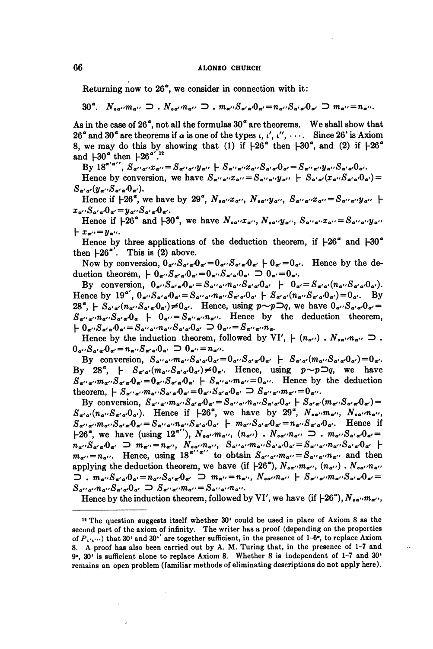### **66 ALONZO CHURCH**

Returning now to  $26<sup>a</sup>$ , we consider in connection with it:

 $30^{\alpha}$ .  $N_{\alpha\alpha'}m_{\alpha''} \supset N_{\alpha\alpha'}n_{\alpha''} \supset N_{\alpha'\alpha'}S_{\alpha'\alpha'}S_{\alpha'\alpha'}=n_{\alpha''}S_{\alpha'\alpha'}0_{\alpha'} \supset m_{\alpha''}=n_{\alpha''}.$ 

As in the case of  $26^{\degree}$ , not all the formulas  $30^{\degree}$  are theorems. We shall show that  $26^{\circ}$  and  $30^{\circ}$  are theorems if  $\alpha$  is one of the types  $\iota, \iota', \iota'', \cdots$ . Since  $26^{\circ}$  is Axiom 8, we may do this by showing that (1) if  $\frac{1}{26}$  then  $\frac{1}{30}$ , and (2) if  $\frac{1}{6}$ and  $+30^\circ$  then  $+26^{\circ'}$ .<sup>12</sup>

 $\text{By 18}^{\alpha' \alpha''},\, \text{S}_{\alpha' \alpha''} x_{\alpha''} = \text{S}_{\alpha' \alpha''} y_{\alpha''} + \text{S}_{\alpha' \alpha''} x_{\alpha''} \text{S}_{\alpha' \alpha} \text{O}_{\alpha'} = \text{S}_{\alpha' \alpha''} y_{\alpha''} \text{S}_{\alpha' \alpha'} \text{O}_{\alpha'}.$ 

Hence by conversion, we have  $S_{\alpha''\alpha''}x_{\alpha''}=S_{\alpha''\alpha''}y_{\alpha''} + S_{\alpha'\alpha'}(x_{\alpha''}S_{\alpha'\alpha'}0_{\alpha'})=$  $S_{\alpha'\alpha'}(y_{\alpha''}S_{\alpha'\alpha'}0_{\alpha'}).$ 

Hence if  $-26^\alpha$ , we have by  $29^\alpha$ ,  $N_{\alpha\alpha'}x_{\alpha''}$ ,  $N_{\alpha\alpha'}y_{\alpha''}$ ,  $S_{\alpha''\alpha''}x_{\alpha''}=S_{\alpha''\alpha''}y_{\alpha''}$  $x_{\alpha} \cdot S_{\alpha' \alpha'} 0_{\alpha'} = y_{\alpha} \cdot S_{\alpha' \alpha'} 0_{\alpha'}.$ 

Hence if  $\mu$ 26<sup>a</sup> and  $\mu$ 30<sup>a</sup>, we have  $N_{oa''}x_{a''}$ ,  $N_{oa''}y_{a''}$ ,  $S_{a''a''}x_{a''}=S_{a''a''}y_{a''}$  $x_{\alpha}$ : =  $y_{\alpha}$ .

Hence by three applications of the deduction theorem, if  $+26^{\circ}$  and  $+30^{\circ}$ then  $+26$ ". This is (2) above.

Now by conversion,  $0_{\alpha'}S_{\alpha'\alpha'}0_{\alpha'}=0_{\alpha'}S_{\alpha'\alpha'}0_{\alpha'}+0_{\alpha'}=0_{\alpha'}$ . Hence by the deduction theorem,  $\vdash 0_{\alpha} \cdot S_{\alpha' \alpha'} 0_{\alpha'} = 0_{\alpha'} S_{\alpha' \alpha'} 0_{\alpha'} \supset 0_{\alpha'} = 0_{\alpha'}$ .

By conversion,  $0_{\alpha} \cdot S_{\alpha' \alpha} \cdot 0_{\alpha'} = S_{\alpha' \alpha'} \cdot n_{\alpha'} \cdot S_{\alpha' \alpha'} 0_{\alpha'} + 0_{\alpha'} = S_{\alpha' \alpha'} (n_{\alpha'} \cdot S_{\alpha' \alpha} \cdot 0_{\alpha'}).$ Hence by  $19^{\alpha'}$ ,  $0_{\alpha'}S_{\alpha'\alpha'}J_{\alpha'}=S_{\alpha'\alpha'\alpha'}J_{\alpha'}S_{\alpha'\alpha'}J_{\alpha'} + S_{\alpha'\alpha'}J_{\alpha'\alpha'}J_{\alpha'}J_{\alpha'}=0_{\alpha'}$ . By  $28^{\alpha}$ ,  $\vdash S_{\alpha'\alpha'}(n_{\alpha''}S_{\alpha'\alpha'}0_{\alpha'}) \neq 0_{\alpha'}.$  Hence, using  $p \sim p \supset q$ , we have  $0_{\alpha''}S_{\alpha'\alpha'}0_{\alpha'}=$  $S_{\alpha''\alpha''}n_{\alpha''}S_{\alpha'\alpha'}0_{\alpha}$   $\vdash$   $0_{\alpha''}=S_{\alpha''\alpha''}n_{\alpha''}.$  Hence by the deduction theorem,  $k_0 + \sum_{\alpha'} S_{\alpha'\alpha'} S_{\alpha'} = S_{\alpha''\alpha''} n_{\alpha''} S_{\alpha'\alpha'} S_{\alpha'} = \sum_{\alpha'} \sum_{\alpha'} S_{\alpha''\alpha''} n_{\alpha}.$ 

Hence by the induction theorem, followed by VI',  $+(n_{\alpha} \cdots)$ .  $N_{\alpha \alpha} \cdots n_{\alpha} \cdots \supseteq$ .<br> $0_{\alpha} \cdots S_{\alpha' \alpha} \cdot 0_{\alpha'} = n_{\alpha} \cdots S_{\alpha' \alpha} \cdot 0_{\alpha'} \supseteq 0_{\alpha'} = n_{\alpha'} \cdots$ 

By conversion,  $S_{\alpha''\alpha''}m_{\alpha''}S_{\alpha'\alpha'}0_{\alpha'}=0_{\alpha''}S_{\alpha'\alpha'}0_{\alpha'}$   $\downarrow S_{\alpha'\alpha'}(m_{\alpha''}S_{\alpha'\alpha'}0_{\alpha'})=0_{\alpha'}.$ By 28<sup>°</sup>,  $\vdash S_{\alpha'\alpha'}(m_{\alpha'}S_{\alpha'\alpha'}0_{\alpha'}) \neq 0_{\alpha'}.$  Hence, using  $p \sim p \supset q$ , we have  $S_{\alpha''\alpha''}m_{\alpha''}S_{\alpha'\alpha'}0_{\alpha'}=0_{\alpha''}S_{\alpha'\alpha'}0_{\alpha'}$  +  $S_{\alpha''\alpha''}m_{\alpha''}=0_{\alpha''}$ . Hence by the deduction theorem,  $K_{\alpha'\alpha'\alpha'\alpha'\alpha'\alpha'\alpha'\alpha'}=0_{\alpha''}\cdot S_{\alpha'\alpha'}0_{\alpha'}\supset S_{\alpha''\alpha'''}m_{\alpha''}=0_{\alpha''}.$ 

By conversion,  $S_{\alpha''\alpha''}m_{\alpha''}S_{\alpha'\alpha'}0_{\alpha'} = S_{\alpha''\alpha''}n_{\alpha''}S_{\alpha'\alpha'}0_{\alpha'} + S_{\alpha'\alpha'}(m_{\alpha''}S_{\alpha'\alpha'}0_{\alpha'}) =$ <br> $S_{\alpha'\alpha'}(n_{\alpha''}S_{\alpha'\alpha'}0_{\alpha'})$ . Hence if  $+26^{\alpha}$ , we have by  $29^{\alpha}$ ,  $N_{\alpha\alpha''}m_{\alpha''}$ ,  $N_{\alpha\alpha''}n_{\alpha''}$ ,  $S_{\alpha'\alpha'\alpha'}m_{\alpha'}S_{\alpha'\alpha'}0_{\alpha'}=S_{\alpha'\alpha'\alpha'}n_{\alpha'}S_{\alpha'\alpha'}0_{\alpha'}$  +  $m_{\alpha''}S_{\alpha'\alpha'}0_{\alpha'}=n_{\alpha''}S_{\alpha'\alpha'}0_{\alpha'}$ . Hence if  $k-26$ <sup>a</sup>, we have (using  $12^{a''}$ ),  $N_{oa''}m_{a''}$ ,  $(n_{a''})$ .  $N_{oa''}n_{a''} \supset . m_{a''}S_{a'a'}0_{a'}=$  $n_{a'}$ , we have  $(u\sin \mu z$ ,  $n_a$   $n_{a''}$ ,  $(u_{a''})$  .  $n_{a''}$   $n_{a''}$   $\leq$  .  $m_{a''}$   $n_{a''}$   $\alpha_{a''}$   $\alpha_{a''}$   $\leq$  .  $n_{\alpha'}=n_{\alpha''}$ . Hence, using 18<sup>"'"</sup> to obtain  $S_{\alpha''\alpha''}m_{\alpha''}=S_{\alpha''\alpha''}n_{\alpha''}$  and then applying the deduction theorem, we have (if  $\left\{26^\alpha\right\}$ ,  $N_{\alpha\alpha'}m_{\alpha''}$ ,  $(n_{\alpha''})$  .  $N_{\alpha\alpha''}n_{\alpha''}$  $\sum$ ,  $m_{\alpha'}S_{\alpha'\alpha'}0_{\alpha'}=n_{\alpha'}S_{\alpha'\alpha'}0_{\alpha'}$   $\sum m_{\alpha''}=n_{\alpha''},$   $N_{\alpha\alpha'}n_{\alpha''}$   $\vdash$   $S_{\alpha'\alpha'}m_{\alpha''}S_{\alpha'\alpha'}0_{\alpha'}=$  $S_{\alpha''\alpha''}n_{\alpha''}S_{\alpha'\alpha'}0_{\alpha'} \supset S_{\alpha''\alpha''}m_{\alpha''}=S_{\alpha''\alpha''}n_{\alpha''}.$ 

Hence by the induction theorem, followed by VI', we have (if  $\mu$ 26<sup>°</sup>),  $N_{\alpha\alpha'}$ ,  $m_{\alpha''}$ ,

**<sup>12</sup>**The question suggests itself whether 30' could be used in place of Axiom 8 as the second part of the axiom of infinity. The writer has a proof (depending on the properties of **P,,,,,,)** that 30' and 30'' are together sufficient, in the presence of **1-6",** to replace Axiom 8. A proof has also been carried out by A. M. Turing that, in the presence of 1-7 and **9",** 30' is sufficient alone to replace Axiom 8. Whether 8 is independent of 1-7 and 30' remains an open problem (familiar methods of eliminating descriptions do not apply here).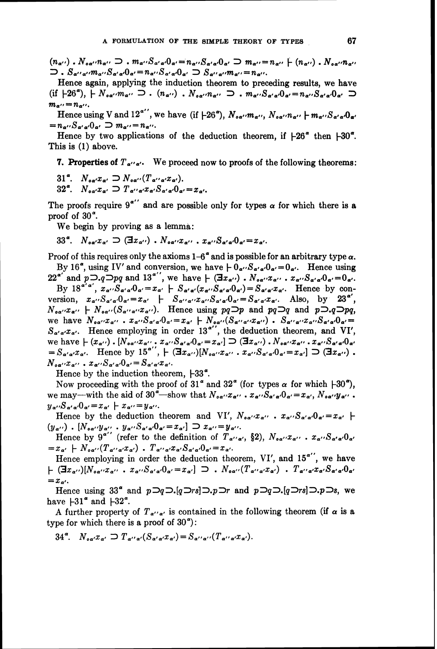$(n_{\alpha'}),N_{\alpha\alpha'}n_{\alpha''}\supset m_{\alpha''}S_{\alpha'\alpha'}0_{\alpha'}=n_{\alpha''}S_{\alpha'\alpha'}0_{\alpha'}\supset m_{\alpha''}=n_{\alpha''}+(n_{\alpha''})$ .  $N_{\alpha\alpha'}n_{\alpha''}$  $\sum$ .  $S_{\alpha''\alpha''}m_{\alpha''}S_{\alpha'\alpha'}0_{\alpha'}=n_{\alpha''}S_{\alpha'\alpha'}0_{\alpha'} \supset S_{\alpha''\alpha''}m_{\alpha''}=n_{\alpha''}.$ 

Hence again, applying the induction theorem to preceding results, we have (if  $+26^{\circ}$ ),  $+ N_{\circ \alpha'} m_{\alpha''} \supset \ldots (n_{\alpha''})$ .  $N_{\circ \alpha''} n_{\alpha''} \supset \ldots m_{\alpha''} S_{\alpha' \alpha'} 0_{\alpha'} = n_{\alpha''} S_{\alpha' \alpha'} 0_{\alpha'}$  $m_{\alpha}$ .  $= n_{\alpha}$ .

Hence using V and  $12^{a''}$ , we have (if  $-26^{\circ}$ ),  $N_{\circ a''m_{a''}}$ ,  $N_{\circ a''n_{a''}}$  +  $m_{a''}S_{a'\alpha'}0_{a'}$  $=n_{\alpha'}S_{\alpha'\alpha'}0_{\alpha'}\supset m_{\alpha''}=n_{\alpha''}.$ 

Hence by two applications of the deduction theorem, if  $\text{\textsterling}26^\alpha$  then  $\text{\textsterling}30^\alpha$ . This is (1) above.

**7. Properties of**  $T_{a' a'}$ **.** We proceed now to proofs of the following theorems:

31<sup>a</sup>.  $N_{\alpha\alpha'}x_{\alpha'} \supset N_{\alpha\alpha''}(T_{\alpha''\alpha'}x_{\alpha'}).$ 

32<sup> $\alpha$ </sup>,  $N_{\alpha\alpha'}x_{\alpha'} \supset T_{\alpha''\alpha'}x_{\alpha'}S_{\alpha'\alpha'}0_{\alpha'}=x_{\alpha'}$ 

The proofs require  $9^{a''}$  and are possible only for types  $\alpha$  for which there is a proof of 30".

We begin by proving as a lemma:

 $33^a$ ,  $N_{aa'}x_{a'} \supset (\exists x_{a''})$ .  $N_{aa''}x_{a''}$ ,  $x_{a''}S_{a'a'}0_{a'}=x_{a'}$ .

Proof of this requires only the axioms  $1-6^\alpha$  and is possible for an arbitrary type  $\alpha$ . By 16<sup> $\alpha$ </sup>, using IV' and conversion, we have  $\beta_0 \cdot S_{\alpha' \alpha'} 0_{\alpha'} = 0_{\alpha'}$ . Hence using

 $22^{a'}$  and  $p\supset q\supset pq$  and  $13^{a''}$ , we have  $k\left(\exists x_{a''}\right)$ .  $N_{oa''}x_{a''}$ .  $x_{a''}S_{a'a'}0_{a'}=0_{a'}$ . By  $18^{a'a'}$ ,  $x_{a''}S_{a'a'}O_{a'} = x_{a'} + S_{a'a'}(x_{a''}S_{a'a'}O_{a'}) = S_{a'a'}x_{a'}$ . Hence by conversion,  $x_{\alpha} \cdot S_{\alpha' \alpha'} 0_{\alpha'} = x_{\alpha'} + S_{\alpha' \alpha'} x_{\alpha'} S_{\alpha' \alpha'} 0_{\alpha'} = S_{\alpha' \alpha'} x_{\alpha'}$ . Also, by 23<sup> $\alpha'$ </sup>,  $N_{\alpha\alpha}r_{\alpha\alpha}$  +  $N_{\alpha\alpha\alpha}(S_{\alpha\alpha\alpha'}r_{\alpha\alpha})$ . Hence using  $pq\Box p$  and  $pq\Box q$  and  $p\Box q\Box pq$ , we have  $N_{\sigma\alpha''}x_{\alpha''}$  .  $x_{\alpha''}S_{\alpha'\alpha'}0_{\alpha'}=x_{\alpha'}+N_{\sigma\alpha''}(S_{\alpha'\alpha''}x_{\alpha''})$  .  $S_{\alpha''\alpha''}x_{\alpha''}S_{\alpha'\alpha'}0_{\alpha'}=$  $S_{\alpha'\alpha'}x_{\alpha'}$ . Hence employing in order 13<sup>a''</sup>, the deduction theorem, and VI',  $S_{\alpha'\alpha'}x_{\alpha'}$ . Hence employing in order 15, the deduction theorem, and v1,<br>we have  $\vdash (x_{\alpha''})$ .  $[N_{\alpha\alpha''}x_{\alpha''}, x_{\alpha''}S_{\alpha'\alpha'}0_{\alpha'}=x_{\alpha'}] \supseteq (\exists x_{\alpha''})$ .  $N_{\alpha\alpha''}x_{\alpha''}, x_{\alpha''}S_{\alpha'\alpha'}0_{\alpha'}$ we have  $\vdash (x_{\alpha''}) \cdot [N_{\alpha\alpha''}x_{\alpha''} \cdot x_{\alpha''}\delta_{\alpha'\alpha'}\delta_{\alpha'} = x_{\alpha'}] \rightarrow (\exists x_{\alpha''}) \cdot N_{\alpha\alpha''}x_{\alpha''} \cdot x_{\alpha''}\delta_{\alpha'\alpha'}\delta_{\alpha'} = S_{\alpha'\alpha'}x_{\alpha'}$ . Hence by  $15^{a'}$ ,  $\vdash (\exists x_{\alpha''})[N_{\alpha\alpha''}x_{\alpha''} \cdot x_{\alpha''}\delta_{\alpha'} = x_{\alpha'}] \supset (\exists x_{\alpha''})$ .<br>  $N_{\alpha\alpha''}x_{\alpha''$ 

Hence by the induction theorem,  $+33^{\circ}$ .

Now proceeding with the proof of 31<sup> $\alpha$ </sup> and 32<sup> $\alpha$ </sup> (for types  $\alpha$  for which  $+30\degree$ ), we may—with the aid of 30<sup> $\alpha$ </sup>—show that  $N_{\alpha\alpha'} x_{\alpha'}$  .  $x_{\alpha'} S_{\alpha'\alpha'} 0_{\alpha'} = x_{\alpha'}$ ,  $N_{\alpha\alpha'} y_{\alpha''}$ .  $y_{\alpha''} S_{\alpha'\alpha'} 0_{\alpha'} = x_{\alpha'} + x_{\alpha''} = y_{\alpha''}$ .

Hence by the deduction theorem and VI',  $N_{oa''}x_{a''}$  .  $x_{a''}S_{a'a'}0_{a'}=x_{a'}~\vdash$  $(y_{\alpha^{\prime\prime}})$  .  $[N_{\mathfrak{aa^{\prime\prime}}}y_{\alpha^{\prime\prime}}$  .  $y_{\alpha^{\prime\prime}}S_{\alpha^{\prime}\alpha^{\prime}}0_{\alpha^{\prime}}=x_{\alpha^{\prime}}] \supset x_{\alpha^{\prime\prime}}=y_{\alpha^{\prime\prime}}$ .

Hence by  $9^{a''}$  (refer to the definition of  $T_{a''a'}$ , §2),  $N_{oa''}x_{a''}$ ,  $x_{a''}S_{a'a'}0_{a'}$  $=x_{\alpha'} + N_{\sigma\alpha''}(T_{\alpha''\alpha'}x_{\alpha'})$  .  $T_{\alpha''\alpha'}x_{\alpha'}S_{\alpha'\alpha'}0_{\alpha'}=x_{\alpha'}.$ 

Hence employing in order the deduction theorem, VI', and  $15^{a''}$ , we have  $\vdash (\exists x_{\alpha\prime\prime})[N_{\alpha\alpha\prime\prime}x_{\alpha\prime\prime}~~,~~x_{\alpha\prime\prime}S_{\alpha'\alpha'}0_{\alpha'}=x_{\alpha'}] \supset .~~N_{\alpha\alpha\prime\prime}(T_{\alpha'\prime\alpha'}x_{\alpha'})~~.~~T_{\alpha'\prime\alpha'}x_{\alpha'}S_{\alpha'\alpha'}0_{\alpha'}$  $=x_{\alpha'}$ .

Hence using 33<sup>°</sup> and  $p\supset q\supset (q\supset rs]\supset p\supset r$  and  $p\supset q\supset (q\supset rs]\supset p\supset s$ , we have  $\left| -31 \right|$  and  $\left| -32 \right|$ .

A further property of  $T_{a''a'}$  is contained in the following theorem (if  $\alpha$  is a type for which there is a proof of  $30^\circ$ ):

 $34^{\alpha}$ .  $N_{\alpha\alpha'}x_{\alpha'} \supset T_{\alpha''\alpha'}(S_{\alpha'\alpha'}x_{\alpha'})=S_{\alpha''\alpha''}(T_{\alpha''\alpha'}x_{\alpha'}).$